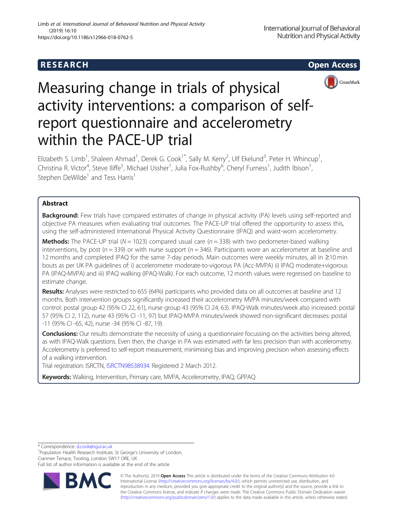## **RESEARCH CHILD CONTROL** CONTROL CONTROL CONTROL CONTROL CONTROL CONTROL CONTROL CONTROL CONTROL CONTROL CONTROL CONTROL CONTROL CONTROL CONTROL CONTROL CONTROL CONTROL CONTROL CONTROL CONTROL CONTROL CONTROL CONTROL CONTR



# Measuring change in trials of physical activity interventions: a comparison of selfreport questionnaire and accelerometry within the PACF-UP trial

Elizabeth S. Limb<sup>1</sup>, Shaleen Ahmad<sup>1</sup>, Derek G. Cook<sup>1\*</sup>, Sally M. Kerry<sup>2</sup>, Ulf Ekelund<sup>3</sup>, Peter H. Whincup<sup>1</sup> , Christina R. Victor<sup>4</sup>, Steve Iliffe<sup>5</sup>, Michael Ussher<sup>1</sup>, Julia Fox-Rushby<sup>6</sup>, Cheryl Furness<sup>1</sup>, Judith Ibison<sup>1</sup> , Stephen DeWilde<sup>1</sup> and Tess Harris<sup>1</sup>

## Abstract

**Background:** Few trials have compared estimates of change in physical activity (PA) levels using self-reported and objective PA measures when evaluating trial outcomes. The PACE-UP trial offered the opportunity to assess this, using the self-administered International Physical Activity Questionnaire (IPAQ) and waist-worn accelerometry.

**Methods:** The PACE-UP trial (N = 1023) compared usual care ( $n = 338$ ) with two pedometer-based walking interventions, by post ( $n = 339$ ) or with nurse support ( $n = 346$ ). Participants wore an accelerometer at baseline and 12 months and completed IPAQ for the same 7-day periods. Main outcomes were weekly minutes, all in ≥10 min bouts as per UK PA guidelines of: i) accelerometer moderate-to-vigorous PA (Acc-MVPA) ii) IPAQ moderate+vigorous PA (IPAQ-MVPA) and iii) IPAQ walking (IPAQ-Walk). For each outcome, 12 month values were regressed on baseline to estimate change.

Results: Analyses were restricted to 655 (64%) participants who provided data on all outcomes at baseline and 12 months. Both intervention groups significantly increased their accelerometry MVPA minutes/week compared with control: postal group 42 (95% CI 22, 61), nurse group 43 (95% CI 24, 63). IPAQ-Walk minutes/week also increased: postal 57 (95% CI 2, 112), nurse 43 (95% CI -11, 97) but IPAQ-MVPA minutes/week showed non-significant decreases: postal -11 (95% CI -65, 42), nurse -34 (95% CI -87, 19).

**Conclusions:** Our results demonstrate the necessity of using a questionnaire focussing on the activities being altered, as with IPAQ-Walk questions. Even then, the change in PA was estimated with far less precision than with accelerometry. Accelerometry is preferred to self-report measurement, minimising bias and improving precision when assessing effects of a walking intervention.

Trial registration: ISRCTN, [ISRCTN98538934](http://www.isrctn.com/ISRCTN98538934). Registered 2 March 2012.

Keywords: Walking, Intervention, Primary care, MVPA, Accelerometry, IPAQ, GPPAQ

\* Correspondence: [d.cook@sgul.ac.uk](mailto:d.cook@sgul.ac.uk) <sup>1</sup>

<sup>1</sup>Population Health Research Institute, St George's University of London, Cranmer Terrace, Tooting, London SW17 ORE, UK

Full list of author information is available at the end of the article



© The Author(s). 2019 **Open Access** This article is distributed under the terms of the Creative Commons Attribution 4.0 International License [\(http://creativecommons.org/licenses/by/4.0/](http://creativecommons.org/licenses/by/4.0/)), which permits unrestricted use, distribution, and reproduction in any medium, provided you give appropriate credit to the original author(s) and the source, provide a link to the Creative Commons license, and indicate if changes were made. The Creative Commons Public Domain Dedication waiver [\(http://creativecommons.org/publicdomain/zero/1.0/](http://creativecommons.org/publicdomain/zero/1.0/)) applies to the data made available in this article, unless otherwise stated.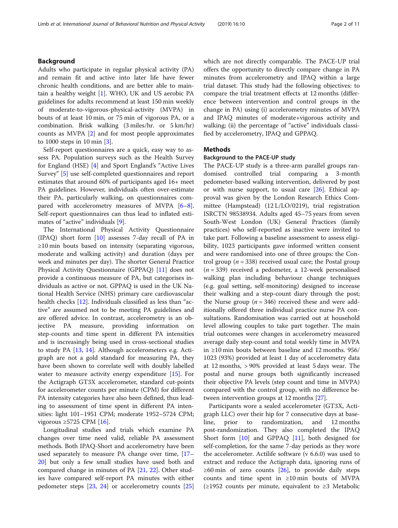## Background

Adults who participate in regular physical activity (PA) and remain fit and active into later life have fewer chronic health conditions, and are better able to maintain a healthy weight [[1\]](#page-9-0). WHO, UK and US aerobic PA guidelines for adults recommend at least 150 min weekly of moderate-to-vigorous-physical-activity (MVPA) in bouts of at least 10 min, or 75 min of vigorous PA, or a combination. Brisk walking (3 miles/hr. or 5 km/hr) counts as MVPA [[2\]](#page-9-0) and for most people approximates to 1000 steps in 10 min [[3\]](#page-9-0).

Self-report questionnaires are a quick, easy way to assess PA. Population surveys such as the Health Survey for England (HSE) [[4](#page-9-0)] and Sport England's "Active Lives Survey" [\[5](#page-9-0)] use self-completed questionnaires and report estimates that around 60% of participants aged 16+ meet PA guidelines. However, individuals often over-estimate their PA, particularly walking, on questionnaires compared with accelerometry measures of MVPA [\[6](#page-9-0)–[8](#page-9-0)]. Self-report questionnaires can thus lead to inflated estimates of "active" individuals [\[9](#page-9-0)].

The International Physical Activity Questionnaire (IPAQ) short form [\[10](#page-9-0)] assesses 7-day recall of PA in ≥10 min bouts based on intensity (separating vigorous, moderate and walking activity) and duration (days per week and minutes per day). The shorter General Practice Physical Activity Questionnaire (GPPAQ) [\[11](#page-9-0)] does not provide a continuous measure of PA, but categorises individuals as active or not. GPPAQ is used in the UK National Health Service (NHS) primary care cardiovascular health checks [[12](#page-9-0)]. Individuals classified as less than "active" are assumed not to be meeting PA guidelines and are offered advice. In contrast, accelerometry is an objective PA measure, providing information on step-counts and time spent in different PA intensities and is increasingly being used in cross-sectional studies to study PA [[13](#page-9-0), [14\]](#page-9-0). Although accelerometers e.g. Actigraph are not a gold standard for measuring PA, they have been shown to correlate well with doubly labelled water to measure activity energy expenditure [[15\]](#page-9-0). For the Actigraph GT3X accelerometer, standard cut-points for accelerometer counts per minute (CPM) for different PA intensity categories have also been defined, thus leading to assessment of time spent in different PA intensities: light 101–1951 CPM; moderate 1952–5724 CPM; vigorous ≥5725 CPM [[16](#page-9-0)].

Longitudinal studies and trials which examine PA changes over time need valid, reliable PA assessment methods. Both IPAQ-Short and accelerometry have been used separately to measure PA change over time, [[17](#page-9-0)– [20\]](#page-9-0) but only a few small studies have used both and compared change in minutes of PA [[21](#page-9-0), [22\]](#page-9-0). Other studies have compared self-report PA minutes with either pedometer steps [\[23,](#page-9-0) [24\]](#page-9-0) or accelerometry counts [[25](#page-9-0)] which are not directly comparable. The PACE-UP trial offers the opportunity to directly compare change in PA minutes from accelerometry and IPAQ within a large trial dataset. This study had the following objectives: to compare the trial treatment effects at 12 months (difference between intervention and control groups in the change in PA) using (i) accelerometry minutes of MVPA and IPAQ minutes of moderate+vigorous activity and walking; (ii) the percentage of "active" individuals classified by accelerometry, IPAQ and GPPAQ.

## Methods

## Background to the PACE-UP study

The PACE-UP study is a three-arm parallel groups randomised controlled trial comparing a 3-month pedometer-based walking intervention, delivered by post or with nurse support, to usual care  $[26]$  $[26]$ . Ethical approval was given by the London Research Ethics Committee (Hampstead) (12 L/LO/0219), trial registration ISRCTN 98538934. Adults aged 45–75 years from seven South-West London (UK) General Practices (family practices) who self-reported as inactive were invited to take part. Following a baseline assessment to assess eligibility, 1023 participants gave informed written consent and were randomised into one of three groups: the Control group ( $n = 338$ ) received usual care; the Postal group  $(n = 339)$  received a pedometer, a 12-week personalised walking plan including behaviour change techniques (e.g. goal setting, self-monitoring) designed to increase their walking and a step-count diary through the post; the Nurse group ( $n = 346$ ) received these and were additionally offered three individual practice nurse PA consultations. Randomisation was carried out at household level allowing couples to take part together. The main trial outcomes were changes in accelerometry measured average daily step-count and total weekly time in MVPA in ≥10 min bouts between baseline and 12 months. 956/ 1023 (93%) provided at least 1 day of accelerometry data at 12 months, > 90% provided at least 5 days wear. The postal and nurse groups both significantly increased their objective PA levels (step count and time in MVPA) compared with the control group, with no difference between intervention groups at 12 months [\[27\]](#page-9-0).

Participants wore a sealed accelerometer (GT3X, Actigraph LLC) over their hip for 7 consecutive days at baseline, prior to randomization, and 12 months post-randomization. They also completed the IPAQ Short form [[10\]](#page-9-0) and GPPAQ [[11\]](#page-9-0), both designed for self-completion, for the same 7-day periods as they wore the accelerometer. Actilife software (v 6.6.0) was used to extract and reduce the Actigraph data, ignoring runs of  $≥60$  min of zero counts [[26](#page-9-0)], to provide daily steps counts and time spent in ≥10 min bouts of MVPA (≥1952 counts per minute, equivalent to ≥3 Metabolic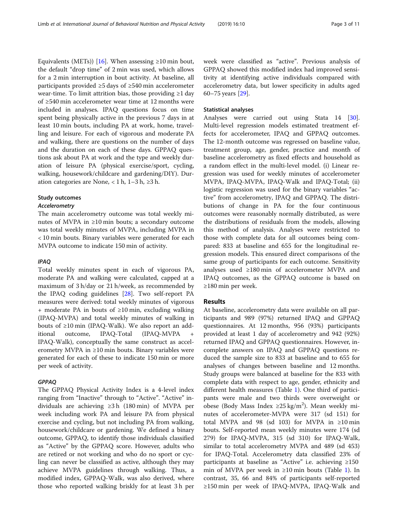Equivalents (METs)) [[16\]](#page-9-0). When assessing  $\geq 10$  min bout, the default "drop time" of 2 min was used, which allows for a 2 min interruption in bout activity. At baseline, all participants provided ≥5 days of ≥540 min accelerometer wear-time. To limit attrition bias, those providing ≥1 day of ≥540 min accelerometer wear time at 12 months were included in analyses. IPAQ questions focus on time spent being physically active in the previous 7 days in at least 10 min bouts, including PA at work, home, travelling and leisure. For each of vigorous and moderate PA and walking, there are questions on the number of days and the duration on each of these days. GPPAQ questions ask about PA at work and the type and weekly duration of leisure PA (physical exercise/sport, cycling, walking, housework/childcare and gardening/DIY). Duration categories are None,  $< 1 h$ ,  $1-3 h$ ,  $\geq 3 h$ .

## Study outcomes

## Accelerometry

The main accelerometry outcome was total weekly minutes of MVPA in ≥10 min bouts; a secondary outcome was total weekly minutes of MVPA, including MVPA in < 10 min bouts. Binary variables were generated for each MVPA outcome to indicate 150 min of activity.

## IPAQ

Total weekly minutes spent in each of vigorous PA, moderate PA and walking were calculated, capped at a maximum of 3 h/day or 21 h/week, as recommended by the IPAQ coding guidelines [[28\]](#page-9-0). Two self-report PA measures were derived: total weekly minutes of vigorous + moderate PA in bouts of  $\geq 10$  min, excluding walking (IPAQ-MVPA) and total weekly minutes of walking in bouts of ≥10 min (IPAQ-Walk). We also report an additional outcome, IPAQ-Total (IPAQ-MVPA + IPAQ-Walk), conceptually the same construct as accelerometry MVPA in ≥10 min bouts. Binary variables were generated for each of these to indicate 150 min or more per week of activity.

## **GPPAQ**

The GPPAQ Physical Activity Index is a 4-level index ranging from "Inactive" through to "Active". "Active" individuals are achieving ≥3 h (180 min) of MVPA per week including work PA and leisure PA from physical exercise and cycling, but not including PA from walking, housework/childcare or gardening. We defined a binary outcome, GPPAQ, to identify those individuals classified as "Active" by the GPPAQ score. However, adults who are retired or not working and who do no sport or cycling can never be classified as active, although they may achieve MVPA guidelines through walking. Thus, a modified index, GPPAQ-Walk, was also derived, where those who reported walking briskly for at least 3 h per week were classified as "active". Previous analysis of GPPAQ showed this modified index had improved sensitivity at identifying active individuals compared with accelerometry data, but lower specificity in adults aged 60–75 years [[29\]](#page-10-0).

## Statistical analyses

Analyses were carried out using Stata 14 [\[30](#page-10-0)]. Multi-level regression models estimated treatment effects for accelerometer, IPAQ and GPPAQ outcomes. The 12-month outcome was regressed on baseline value, treatment group, age, gender, practice and month of baseline accelerometry as fixed effects and household as a random effect in the multi-level model. (i) Linear regression was used for weekly minutes of accelerometer MVPA, IPAQ-MVPA, IPAQ-Walk and IPAQ-Total; (ii) logistic regression was used for the binary variables "active" from accelerometry, IPAQ and GPPAQ. The distributions of change in PA for the four continuous outcomes were reasonably normally distributed, as were the distributions of residuals from the models, allowing this method of analysis. Analyses were restricted to those with complete data for all outcomes being compared: 833 at baseline and 655 for the longitudinal regression models. This ensured direct comparisons of the same group of participants for each outcome. Sensitivity analyses used ≥180 min of accelerometer MVPA and IPAQ outcomes, as the GPPAQ outcome is based on ≥180 min per week.

## Results

At baseline, accelerometry data were available on all participants and 989 (97%) returned IPAQ and GPPAQ questionnaires. At 12 months, 956 (93%) participants provided at least 1 day of accelerometry and 942 (92%) returned IPAQ and GPPAQ questionnaires. However, incomplete answers on IPAQ and GPPAQ questions reduced the sample size to 833 at baseline and to 655 for analyses of changes between baseline and 12 months. Study groups were balanced at baseline for the 833 with complete data with respect to age, gender, ethnicity and different health measures (Table [1\)](#page-3-0). One third of participants were male and two thirds were overweight or obese (Body Mass Index ≥25 kg/m<sup>2</sup>). Mean weekly minutes of accelerometer-MVPA were 317 (sd 151) for total MVPA and 98 (sd 103) for MVPA in ≥10 min bouts. Self-reported mean weekly minutes were 174 (sd 279) for IPAQ-MVPA, 315 (sd 310) for IPAQ-Walk, similar to total accelerometry MVPA and 489 (sd 453) for IPAQ-Total. Accelerometry data classified 23% of participants at baseline as "Active" i.e. achieving ≥150 min of MVPA per week in ≥10 min bouts (Table [1\)](#page-3-0). In contrast, 35, 66 and 84% of participants self-reported ≥150 min per week of IPAQ-MVPA, IPAQ-Walk and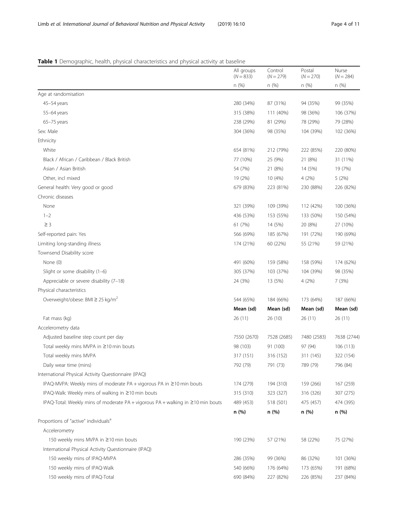## <span id="page-3-0"></span>Table 1 Demographic, health, physical characteristics and physical activity at baseline

|                                                                                 | All groups<br>$(N = 833)$ | Control<br>$(N = 279)$ | Postal<br>$(N = 270)$ | Nurse<br>$(N = 284)$ |
|---------------------------------------------------------------------------------|---------------------------|------------------------|-----------------------|----------------------|
|                                                                                 | n (%)                     | n (%)                  | n (%)                 | n (%)                |
| Age at randomisation                                                            |                           |                        |                       |                      |
| 45-54 years                                                                     | 280 (34%)                 | 87 (31%)               | 94 (35%)              | 99 (35%)             |
| 55-64 years                                                                     | 315 (38%)                 | 111 (40%)              | 98 (36%)              | 106 (37%)            |
| 65-75 years                                                                     | 238 (29%)                 | 81 (29%)               | 78 (29%)              | 79 (28%)             |
| Sex: Male                                                                       | 304 (36%)                 | 98 (35%)               | 104 (39%)             | 102 (36%)            |
| Ethnicity                                                                       |                           |                        |                       |                      |
| White                                                                           | 654 (81%)                 | 212 (79%)              | 222 (85%)             | 220 (80%)            |
| Black / African / Caribbean / Black British                                     | 77 (10%)                  | 25 (9%)                | 21 (8%)               | 31 (11%)             |
| Asian / Asian British                                                           | 54 (7%)                   | 21 (8%)                | 14 (5%)               | 19 (7%)              |
| Other, incl mixed                                                               | 19 (2%)                   | 10 (4%)                | 4 (2%)                | 5(2%)                |
| General health: Very good or good                                               | 679 (83%)                 | 223 (81%)              | 230 (88%)             | 226 (82%)            |
| Chronic diseases                                                                |                           |                        |                       |                      |
| None                                                                            | 321 (39%)                 | 109 (39%)              | 112 (42%)             | 100 (36%)            |
| $1 - 2$                                                                         | 436 (53%)                 | 153 (55%)              | 133 (50%)             | 150 (54%)            |
| $\geq$ 3                                                                        | 61 (7%)                   | 14 (5%)                | 20 (8%)               | 27 (10%)             |
| Self-reported pain: Yes                                                         | 566 (69%)                 | 185 (67%)              | 191 (72%)             | 190 (69%)            |
| Limiting long-standing illness                                                  | 174 (21%)                 | 60 (22%)               | 55 (21%)              | 59 (21%)             |
| Townsend Disability score                                                       |                           |                        |                       |                      |
| None (0)                                                                        | 491 (60%)                 | 159 (58%)              | 158 (59%)             | 174 (62%)            |
| Slight or some disability (1-6)                                                 | 305 (37%)                 | 103 (37%)              | 104 (39%)             | 98 (35%)             |
| Appreciable or severe disability (7-18)                                         | 24 (3%)                   | 13 (5%)                | 4 (2%)                | 7 (3%)               |
| Physical characteristics                                                        |                           |                        |                       |                      |
| Overweight/obese: BMI $\geq$ 25 kg/m <sup>2</sup>                               | 544 (65%)                 | 184 (66%)              | 173 (64%)             | 187 (66%)            |
|                                                                                 | Mean (sd)                 | Mean (sd)              | Mean (sd)             | Mean (sd)            |
| Fat mass (kg)                                                                   | 26(11)                    | 26(10)                 | 26(11)                | 26(11)               |
| Accelerometry data                                                              |                           |                        |                       |                      |
| Adjusted baseline step count per day                                            | 7550 (2670)               | 7528 (2685)            | 7480 (2583)           | 7638 (2744)          |
| Total weekly mins MVPA in ≥10 min bouts                                         | 98 (103)                  | 91 (100)               | 97 (94)               | 106 (113)            |
| Total weekly mins MVPA                                                          | 317 (151)                 | 316 (152)              | 311 (145)             | 322 (154)            |
| Daily wear time (mins)                                                          | 792 (79)                  | 791 (73)               | 789 (79)              | 796 (84)             |
| International Physical Activity Questionnaire (IPAQ)                            |                           |                        |                       |                      |
| IPAQ-MVPA: Weekly mins of moderate PA + vigorous PA in ≥10 min bouts            | 174 (279)                 | 194 (310)              | 159 (266)             | 167 (259)            |
| IPAQ-Walk: Weekly mins of walking in ≥10 min bouts                              | 315 (310)                 | 323 (327)              | 316 (326)             | 307 (275)            |
| IPAQ-Total: Weekly mins of moderate PA + vigorous PA + walking in ≥10 min bouts | 489 (453)                 | 518 (501)              | 475 (457)             | 474 (395)            |
|                                                                                 | n (%)                     | n (%)                  | n (%)                 | n (%)                |
| Proportions of "active" individuals <sup>a</sup>                                |                           |                        |                       |                      |
| Accelerometry                                                                   |                           |                        |                       |                      |
| 150 weekly mins MVPA in ≥10 min bouts                                           | 190 (23%)                 | 57 (21%)               | 58 (22%)              | 75 (27%)             |
| International Physical Activity Questionnaire (IPAQ)                            |                           |                        |                       |                      |
| 150 weekly mins of IPAQ-MVPA                                                    | 286 (35%)                 | 99 (36%)               | 86 (32%)              | 101 (36%)            |
| 150 weekly mins of IPAQ-Walk                                                    | 540 (66%)                 | 176 (64%)              | 173 (65%)             | 191 (68%)            |
| 150 weekly mins of IPAQ-Total                                                   | 690 (84%)                 | 227 (82%)              | 226 (85%)             | 237 (84%)            |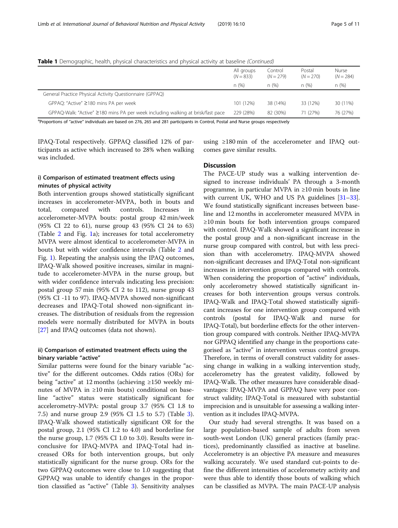## Table 1 Demographic, health, physical characteristics and physical activity at baseline (Continued)

|                                                                                 | All groups<br>$(N = 833)$ | Control<br>$(N = 279)$ | Postal<br>$(N = 270)$ | Nurse<br>$(N = 284)$ |
|---------------------------------------------------------------------------------|---------------------------|------------------------|-----------------------|----------------------|
|                                                                                 | n(%)                      | n (%)                  | n(%)                  | n(%)                 |
| General Practice Physical Activity Questionnaire (GPPAQ)                        |                           |                        |                       |                      |
| GPPAQ: "Active" ≥180 mins PA per week                                           | 101 (12%)                 | 38 (14%)               | 33 (12%)              | 30 (11%)             |
| GPPAQ-Walk: "Active" ≥180 mins PA per week including walking at brisk/fast pace | 229 (28%)                 | 82 (30%)               | 71 (27%)              | 76 (27%)             |
|                                                                                 |                           |                        |                       |                      |

<sup>a</sup>Proportions of "active" individuals are based on 276, 265 and 281 participants in Control, Postal and Nurse groups respectively

IPAQ-Total respectively. GPPAQ classified 12% of participants as active which increased to 28% when walking was included.

## using ≥180 min of the accelerometer and IPAQ outcomes gave similar results.

## **Discussion**

## i) Comparison of estimated treatment effects using minutes of physical activity

Both intervention groups showed statistically significant increases in accelerometer-MVPA, both in bouts and total, compared with controls. Increases in accelerometer-MVPA bouts: postal group 42 min/week (95% CI 22 to 61), nurse group 43 (95% CI 24 to 63) (Table [2](#page-5-0) and Fig. [1](#page-6-0)a); increases for total accelerometry MVPA were almost identical to accelerometer-MVPA in bouts but with wider confidence intervals (Table [2](#page-5-0) and Fig. [1](#page-6-0)). Repeating the analysis using the IPAQ outcomes, IPAQ-Walk showed positive increases, similar in magnitude to accelerometer-MVPA in the nurse group, but with wider confidence intervals indicating less precision: postal group 57 min (95% CI 2 to 112), nurse group 43 (95% CI -11 to 97). IPAQ-MVPA showed non-significant decreases and IPAQ-Total showed non-significant increases. The distribution of residuals from the regression models were normally distributed for MVPA in bouts [[27\]](#page-9-0) and IPAQ outcomes (data not shown).

## ii) Comparison of estimated treatment effects using the binary variable "active"

Similar patterns were found for the binary variable "active" for the different outcomes. Odds ratios (ORs) for being "active" at 12 months (achieving ≥150 weekly minutes of MVPA in ≥10 min bouts) conditional on baseline "active" status were statistically significant for accelerometry-MVPA: postal group 3.7 (95% CI 1.8 to 7.5) and nurse group 2.9 (95% CI 1.5 to 5.7) (Table [3](#page-7-0)). IPAQ-Walk showed statistically significant OR for the postal group, 2.1 (95% CI 1.2 to 4.0) and borderline for the nurse group, 1.7 (95% CI 1.0 to 3.0). Results were inconclusive for IPAQ-MVPA and IPAQ-Total had increased ORs for both intervention groups, but only statistically significant for the nurse group. ORs for the two GPPAQ outcomes were close to 1.0 suggesting that GPPAQ was unable to identify changes in the proportion classified as "active" (Table [3](#page-7-0)). Sensitivity analyses

The PACE-UP study was a walking intervention designed to increase individuals' PA through a 3-month programme, in particular MVPA in ≥10 min bouts in line with current UK, WHO and US PA guidelines [\[31](#page-10-0)–[33](#page-10-0)]. We found statistically significant increases between baseline and 12 months in accelerometer measured MVPA in ≥10 min bouts for both intervention groups compared with control. IPAQ-Walk showed a significant increase in the postal group and a non-significant increase in the nurse group compared with control, but with less precision than with accelerometry. IPAQ-MVPA showed non-significant decreases and IPAQ-Total non-significant increases in intervention groups compared with controls. When considering the proportion of "active" individuals, only accelerometry showed statistically significant increases for both intervention groups versus controls. IPAQ-Walk and IPAQ-Total showed statistically significant increases for one intervention group compared with controls (postal for IPAQ-Walk and nurse for IPAQ-Total), but borderline effects for the other intervention group compared with controls. Neither IPAQ-MVPA nor GPPAQ identified any change in the proportions categorised as "active" in intervention versus control groups. Therefore, in terms of overall construct validity for assessing change in walking in a walking intervention study, accelerometry has the greatest validity, followed by IPAQ-Walk. The other measures have considerable disadvantages: IPAQ-MVPA and GPPAQ have very poor construct validity; IPAQ-Total is measured with substantial imprecision and is unsuitable for assessing a walking intervention as it includes IPAQ-MVPA.

Our study had several strengths. It was based on a large population-based sample of adults from seven south-west London (UK) general practices (family practices), predominantly classified as inactive at baseline. Accelerometry is an objective PA measure and measures walking accurately. We used standard cut-points to define the different intensities of accelerometry activity and were thus able to identify those bouts of walking which can be classified as MVPA. The main PACE-UP analysis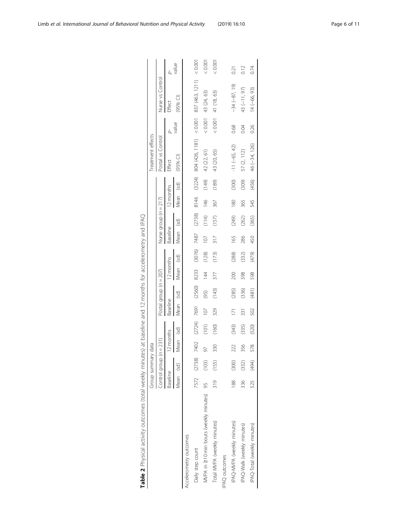<span id="page-5-0"></span>

|                                           |                | Group summary data        |           |        |                |                            |           |        |                 |                         |                |        | Treatment effects |       |                  |        |
|-------------------------------------------|----------------|---------------------------|-----------|--------|----------------|----------------------------|-----------|--------|-----------------|-------------------------|----------------|--------|-------------------|-------|------------------|--------|
|                                           |                | Control group $(n = 231)$ |           |        |                | Postal group ( $n = 207$ ) |           |        |                 | Nurse group $(n = 217)$ |                |        | Postal vs Control |       | Jurse vs Control |        |
|                                           | Baseline       |                           | 12 months |        | Baseline       |                            | 2 months  |        | Baseline        |                         | 2 months       |        | Effect            |       | Effect           |        |
|                                           | Mean (sd)      |                           | Mean (sd) |        | Mean (sd)      |                            | Mean (sd) |        | Vlean (sd)      |                         | Mean .         | (55)   | (95% CI)          | value | $(95%$ Cl        | value  |
| Accelerometry outcomes                    |                |                           |           |        |                |                            |           |        |                 |                         |                |        |                   |       |                  |        |
| Daily step count                          | 7572           | (2738)                    | 7402      | (2724) | 7691           | (2560)                     | 8233      | (3076) | 7487            | (2738)                  | 8146           | (3224) | 804 (426, 1181)   | 0.001 | 837 (463, 1211)  | 0.001  |
| MVPA in 210 min bouts (weekly minutes) 95 |                | (103)                     | 5         | (101)  | $\overline{0}$ | (95)                       | 4         | (128)  | $\overline{0}$  | (114)                   | $\frac{46}{5}$ | (149)  | 42 (22, 61)       | 0.001 | 43 (24, 63)      | 20.001 |
| Total MVPA (weekly minutes)               | 319            | (155)                     | 330       | (160)  | 329            | (143)                      | 377       | (173)  | $\frac{317}{2}$ | (157)                   | 367            | (189)  | 43 (20, 65)       | 10001 | 41 (18, 63)      | 20.001 |
| IPAQ outcomes                             |                |                           |           |        |                |                            |           |        |                 |                         |                |        |                   |       |                  |        |
| IPAQ-MVPA (weekly minutes)                | $\frac{88}{1}$ | (300)                     | 222       | (343)  |                | (285)                      | 200       | (288)  | $\frac{65}{2}$  | (649)                   | 180            | (300)  | $-11(-65, 42)$    | 0.68  | $-34(-87, 19)$   | 0.21   |
| IPAQ-Walk (weekly minutes)                | 336            | (332)                     | 356       | (335)  | 331            | (336)                      | 398       | (332)  | 286             | (262)                   | 365            | (309)  | 57 (2, 112)       | 0.04  | $43(-11, 97)$    | 0.12   |
| IPAQ-Total (weekly minutes)               | 525            | (494)                     | 578       | (520)  | 502            | (481)                      | 598       | (479)  | 450             | (365)                   | 545            | (456)  | 46 (-34, 126)     | 0.26  | $14 (-66, 93)$   | 0.74   |
|                                           |                |                           |           |        |                |                            |           |        |                 |                         |                |        |                   |       |                  |        |

| I                                                                                                                   |  |
|---------------------------------------------------------------------------------------------------------------------|--|
|                                                                                                                     |  |
|                                                                                                                     |  |
|                                                                                                                     |  |
|                                                                                                                     |  |
|                                                                                                                     |  |
|                                                                                                                     |  |
|                                                                                                                     |  |
| i                                                                                                                   |  |
| į                                                                                                                   |  |
| İ                                                                                                                   |  |
|                                                                                                                     |  |
| j                                                                                                                   |  |
|                                                                                                                     |  |
| ֢ׅׅ֛֧֚֚֚֚֚֚֚֚֚֚֚֚֚֚֚֚֚֚֚֚֚֚֚֚֚֡֡֡֜֡֜֡֡֡֝                                                                            |  |
|                                                                                                                     |  |
|                                                                                                                     |  |
|                                                                                                                     |  |
| ١                                                                                                                   |  |
| i                                                                                                                   |  |
|                                                                                                                     |  |
| $\overline{\phantom{a}}$<br>١                                                                                       |  |
|                                                                                                                     |  |
|                                                                                                                     |  |
|                                                                                                                     |  |
|                                                                                                                     |  |
|                                                                                                                     |  |
|                                                                                                                     |  |
| ¢                                                                                                                   |  |
|                                                                                                                     |  |
| $\frac{1}{2}$                                                                                                       |  |
|                                                                                                                     |  |
| ١                                                                                                                   |  |
| į                                                                                                                   |  |
|                                                                                                                     |  |
|                                                                                                                     |  |
| <b>.</b><br>.                                                                                                       |  |
|                                                                                                                     |  |
|                                                                                                                     |  |
|                                                                                                                     |  |
|                                                                                                                     |  |
|                                                                                                                     |  |
| i                                                                                                                   |  |
| $\frac{4}{3}$                                                                                                       |  |
|                                                                                                                     |  |
|                                                                                                                     |  |
| $\frac{1}{2}$                                                                                                       |  |
|                                                                                                                     |  |
|                                                                                                                     |  |
|                                                                                                                     |  |
|                                                                                                                     |  |
| i<br>Santa Santa Santa Santa Santa Santa Santa Santa Santa Santa Santa Santa Santa Santa Santa Santa Santa Santa Sa |  |
|                                                                                                                     |  |
|                                                                                                                     |  |
| i                                                                                                                   |  |
|                                                                                                                     |  |
|                                                                                                                     |  |
| ֡֡                                                                                                                  |  |
|                                                                                                                     |  |
| $\vdots$<br>$\mathfrak{c}$                                                                                          |  |
| Table 2                                                                                                             |  |
|                                                                                                                     |  |
|                                                                                                                     |  |
|                                                                                                                     |  |
|                                                                                                                     |  |
|                                                                                                                     |  |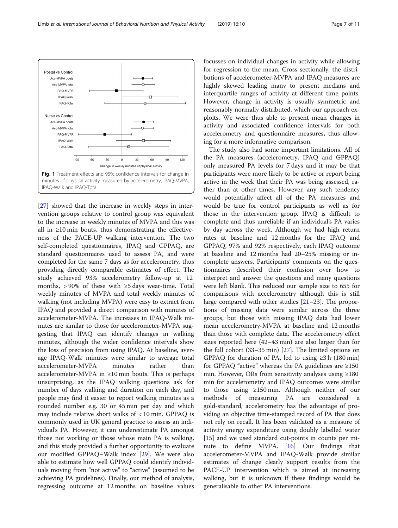<span id="page-6-0"></span>

[[27\]](#page-9-0) showed that the increase in weekly steps in intervention groups relative to control group was equivalent to the increase in weekly minutes of MVPA and this was all in  $\geq$ 10 min bouts, thus demonstrating the effectiveness of the PACE-UP walking intervention. The two self-completed questionnaires, IPAQ and GPPAQ, are standard questionnaires used to assess PA, and were completed for the same 7 days as for accelerometry, thus providing directly comparable estimates of effect. The study achieved 93% accelerometry follow-up at 12 months, > 90% of these with  $\geq$ 5 days wear-time. Total weekly minutes of MVPA and total weekly minutes of walking (not including MVPA) were easy to extract from IPAQ and provided a direct comparison with minutes of accelerometer-MVPA. The increases in IPAQ-Walk minutes are similar to those for accelerometer-MVPA suggesting that IPAQ can identify changes in walking minutes, although the wider confidence intervals show the loss of precision from using IPAQ. At baseline, average IPAQ-Walk minutes were similar to average total accelerometer-MVPA minutes rather than accelerometer-MVPA in  $\geq 10$  min bouts. This is perhaps unsurprising, as the IPAQ walking questions ask for number of days walking and duration on each day, and people may find it easier to report walking minutes as a rounded number e.g. 30 or 45 min per day and which may include relative short walks of < 10 min. GPPAQ is commonly used in UK general practice to assess an individual's PA. However, it can underestimate PA amongst those not working or those whose main PA is walking, and this study provided a further opportunity to evaluate our modified GPPAQ–Walk index [[29](#page-10-0)]. We were also able to estimate how well GPPAQ could identify individuals moving from "not active" to "active" (assumed to be achieving PA guidelines). Finally, our method of analysis, regressing outcome at 12 months on baseline values

focusses on individual changes in activity while allowing for regression to the mean. Cross-sectionally, the distributions of accelerometer-MVPA and IPAQ measures are highly skewed leading many to present medians and interquartile ranges of activity at different time points. However, change in activity is usually symmetric and reasonably normally distributed, which our approach exploits. We were thus able to present mean changes in activity and associated confidence intervals for both accelerometry and questionnaire measures, thus allowing for a more informative comparison.

The study also had some important limitations. All of the PA measures (accelerometry, IPAQ and GPPAQ) only measured PA levels for 7 days and it may be that participants were more likely to be active or report being active in the week that their PA was being assessed, rather than at other times. However, any such tendency would potentially affect all of the PA measures and would be true for control participants as well as for those in the intervention group. IPAQ is difficult to complete and thus unreliable if an individual's PA varies by day across the week. Although we had high return rates at baseline and 12 months for the IPAQ and GPPAQ, 97% and 92% respectively, each IPAQ outcome at baseline and 12 months had 20–25% missing or incomplete answers. Participants' comments on the questionnaires described their confusion over how to interpret and answer the questions and many questions were left blank. This reduced our sample size to 655 for comparisons with accelerometry although this is still large compared with other studies [\[21](#page-9-0)–[23\]](#page-9-0). The proportions of missing data were similar across the three groups, but those with missing IPAQ data had lower mean accelerometry-MVPA at baseline and 12 months than those with complete data. The accelerometry effect sizes reported here (42–43 min) are also larger than for the full cohort (33–35 min) [\[27](#page-9-0)]. The limited options on GPPAQ for duration of PA, led to using  $\geq 3$  h (180 min) for GPPAO "active" whereas the PA guidelines are  $\geq 150$ min. However, ORs from sensitivity analyses using ≥180 min for accelerometry and IPAQ outcomes were similar to those using ≥150 min. Although neither of our methods of measuring PA are considered a gold-standard, accelerometry has the advantage of providing an objective time-stamped record of PA that does not rely on recall. It has been validated as a measure of activity energy expenditure using doubly labelled water [[15\]](#page-9-0) and we used standard cut-points in counts per minute to define MVPA. [[16\]](#page-9-0) Our findings that accelerometer-MVPA and IPAQ-Walk provide similar estimates of change clearly support results from the PACE-UP intervention which is aimed at increasing walking, but it is unknown if these findings would be generalisable to other PA interventions.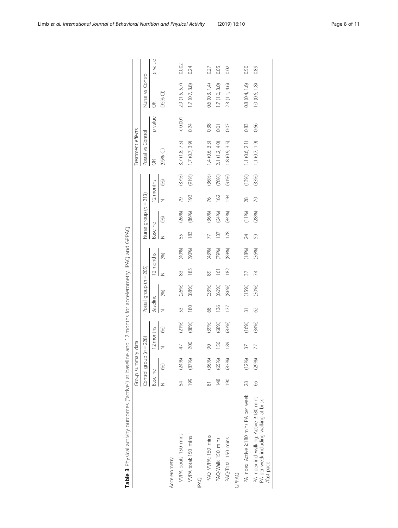<span id="page-7-0"></span>

|                                                                                                 |                | Group summary data |             |       |                |                          |                  |       |          |                         |          |       | Treatment effects    |                |                  |         |
|-------------------------------------------------------------------------------------------------|----------------|--------------------|-------------|-------|----------------|--------------------------|------------------|-------|----------|-------------------------|----------|-------|----------------------|----------------|------------------|---------|
|                                                                                                 |                | Control group      | $(n = 228)$ |       |                | Postal group $(n = 205)$ |                  |       |          | Nurse group $(n = 213)$ |          |       | Postal vs Control    |                | Nurse vs Control |         |
|                                                                                                 | Baseline       |                    | 12 months   |       | Baseline       |                          | 2 months         |       | Baseline |                         | 2 months |       | $\widetilde{\sigma}$ | p-value        | E                | p-value |
|                                                                                                 |                | (%)                | z           | (%)   | Z              | (%)                      | z                | (96)  |          | $\circledS$             | z        | (%)   | $(95%$ Cl)           |                | $(95%$ Cl)       |         |
| Accelerometry                                                                                   |                |                    |             |       |                |                          |                  |       |          |                         |          |       |                      |                |                  |         |
| MVPA bouts: 150 mins                                                                            | 54             | (24%)              | 47          | (21%  | 53             | (26%)                    | 83               | (40%) | 55       | (26%)                   | 2        | (37%) | 3.7(1.8, 7.5)        | 0.001          | 2.9(1.5, 5.7)    | 0.002   |
| MVPA total: 150 mins                                                                            | 199            | (87%)              | 200         | (88%) | 180            | (88%)                    | 185              | (90%  | 183      | (86%)                   | 193      | (91%  | 1.7(0.7, 3.9)        | 0.24           | 1.7(0.7, 3.8)    | 0.24    |
| IPAQ                                                                                            |                |                    |             |       |                |                          |                  |       |          |                         |          |       |                      |                |                  |         |
| IPAQ-MVPA: 150 mins                                                                             | $\overline{8}$ | (36%)              | 8           | (39%) | 89             | (33%)                    | 89               | (43%) |          | (36%)                   | 76       | (36%) | 1.4(0.6, 3.3)        | 0.38           | 0.6(0.3, 1.4)    | 0.27    |
| IPAQ-Walk: 150 mins                                                                             | 148            | (65%)              | 156         | (68%) | 136            | (66%)                    | $\overline{161}$ | (79%) | 137      | (64%)                   | 162      | (76%) | 2.1 (1.2, 4.0)       | 0.01           | 1.7(1.0, 3.0)    | 0.05    |
| IPAQ-Total: 150 mins                                                                            | 90             | (83%)              | 89          | (83%) | 177            | (86%)                    | $\frac{18}{2}$   | (89%) | 178      | (84%                    | 194      | (91%  | 1.8(0.9, 3.5)        | $\overline{0}$ | 2.3 (1.1, 4.6)   | 0.02    |
| GPPAQ                                                                                           |                |                    |             |       |                |                          |                  |       |          |                         |          |       |                      |                |                  |         |
| PA Index: Active 2180 mins PA per week                                                          | 28             | (12%)              | 57          | (16%  | $\overline{5}$ | (15%)                    | 37               | (18%) | 24       | (11%)                   | 28       | (13%) | $1.1$ $(0.6, 2.1)$   | 0.83           | 0.8(0.4, 1.6)    | 0.50    |
| PA Index incl walking: Active 2180 mins<br>PA per week including walking at brisk<br>/fast pace | 8              | (29%)              | 77          | (34%) | 62             | (30%)                    | 74               | (36%) | 59       | (28%)                   | R        | (33%) | 1.1(0.7, 1.9)        | 0.66           | 1.0(0.6, 1.8)    | 0.89    |

Table 3 Physical activity outcomes ("active") at baseline and 12 months for accelerometry, IPAQ and GPPAQ Table 3 Physical activity outcomes ("active") at baseline and 12 months for accelerometry, IPAQ and GPPAQ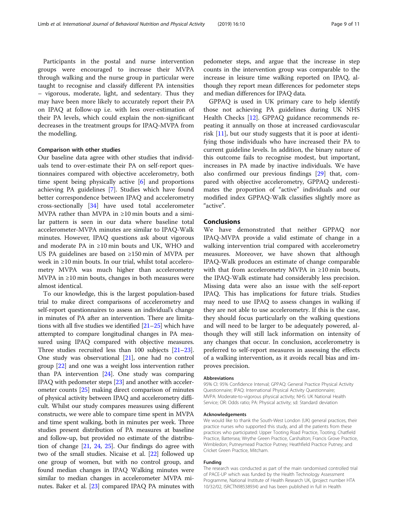Participants in the postal and nurse intervention groups were encouraged to increase their MVPA through walking and the nurse group in particular were taught to recognise and classify different PA intensities – vigorous, moderate, light, and sedentary. Thus they may have been more likely to accurately report their PA on IPAQ at follow-up i.e. with less over-estimation of their PA levels, which could explain the non-significant decreases in the treatment groups for IPAQ-MVPA from the modelling.

## Comparison with other studies

Our baseline data agree with other studies that individuals tend to over-estimate their PA on self-report questionnaires compared with objective accelerometry, both time spent being physically active [[6\]](#page-9-0) and proportions achieving PA guidelines [\[7](#page-9-0)]. Studies which have found better correspondence between IPAQ and accelerometry cross-sectionally [[34\]](#page-10-0) have used total accelerometer MVPA rather than MVPA in ≥10 min bouts and a similar pattern is seen in our data where baseline total accelerometer-MVPA minutes are similar to IPAQ-Walk minutes. However, IPAQ questions ask about vigorous and moderate PA in ≥10 min bouts and UK, WHO and US PA guidelines are based on ≥150 min of MVPA per week in ≥10 min bouts. In our trial, whilst total accelerometry MVPA was much higher than accelerometry MVPA in ≥10 min bouts, changes in both measures were almost identical.

To our knowledge, this is the largest population-based trial to make direct comparisons of accelerometry and self-report questionnaires to assess an individual's change in minutes of PA after an intervention. There are limitations with all five studies we identified [[21](#page-9-0)–[25\]](#page-9-0) which have attempted to compare longitudinal changes in PA measured using IPAQ compared with objective measures. Three studies recruited less than 100 subjects [\[21](#page-9-0)–[23](#page-9-0)]. One study was observational [[21\]](#page-9-0), one had no control group [[22](#page-9-0)] and one was a weight loss intervention rather than PA intervention [\[24\]](#page-9-0). One study was comparing IPAQ with pedometer steps [\[23\]](#page-9-0) and another with accelerometer counts [[25](#page-9-0)] making direct comparison of minutes of physical activity between IPAQ and accelerometry difficult. Whilst our study compares measures using different constructs, we were able to compare time spent in MVPA and time spent walking, both in minutes per week. Three studies present distribution of PA measures at baseline and follow-up, but provided no estimate of the distribution of change [[21](#page-9-0), [24](#page-9-0), [25](#page-9-0)]. Our findings do agree with two of the small studies. Nicaise et al. [[22\]](#page-9-0) followed up one group of women, but with no control group, and found median changes in IPAQ Walking minutes were similar to median changes in accelerometer MVPA minutes. Baker et al. [\[23](#page-9-0)] compared IPAQ PA minutes with

pedometer steps, and argue that the increase in step counts in the intervention group was comparable to the increase in leisure time walking reported on IPAQ, although they report mean differences for pedometer steps and median differences for IPAQ data.

GPPAQ is used in UK primary care to help identify those not achieving PA guidelines during UK NHS Health Checks [\[12](#page-9-0)]. GPPAQ guidance recommends repeating it annually on those at increased cardiovascular risk [\[11\]](#page-9-0), but our study suggests that it is poor at identifying those individuals who have increased their PA to current guideline levels. In addition, the binary nature of this outcome fails to recognise modest, but important, increases in PA made by inactive individuals. We have also confirmed our previous findings [[29\]](#page-10-0) that, compared with objective accelerometry, GPPAQ underestimates the proportion of "active" individuals and our modified index GPPAQ-Walk classifies slightly more as "active".

## **Conclusions**

We have demonstrated that neither GPPAQ nor IPAQ-MVPA provide a valid estimate of change in a walking intervention trial compared with accelerometry measures. Moreover, we have shown that although IPAQ-Walk produces an estimate of change comparable with that from accelerometry MVPA in  $\geq 10$  min bouts, the IPAQ-Walk estimate had considerably less precision. Missing data were also an issue with the self-report IPAQ. This has implications for future trials. Studies may need to use IPAQ to assess changes in walking if they are not able to use accelerometry. If this is the case, they should focus particularly on the walking questions and will need to be larger to be adequately powered, although they will still lack information on intensity of any changes that occur. In conclusion, accelerometry is preferred to self-report measures in assessing the effects of a walking intervention, as it avoids recall bias and improves precision.

#### Abbreviations

95% CI: 95% Confidence Interval; GPPAQ: General Practice Physical Activity Questionnaire; IPAQ: International Physical Activity Questionnaire; MVPA: Moderate-to-vigorous physical activity; NHS: UK National Health Service; OR: Odds ratio; PA: Physical activity; sd: Standard deviation

#### Acknowledgements

We would like to thank the South-West London (UK) general practices, their practice nurses who supported this study, and all the patients from these practices who participated: Upper Tooting Road Practice, Tooting; Chatfield Practice, Battersea; Wrythe Green Practice, Carshalton; Francis Grove Practice, Wimbledon; Putneymead Practice Putney; Heathfield Practice Putney; and Cricket Green Practice, Mitcham.

#### Funding

The research was conducted as part of the main randomised controlled trial of PACE-UP which was funded by the Health Technology Assessment Programme, National Institute of Health Research UK, (project number HTA 10/32/02, ISRCTN98538934) and has been published in full in Health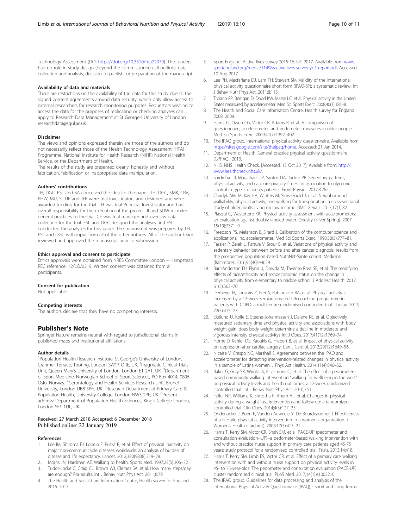<span id="page-9-0"></span>Technology Assessment (DOI <https://doi.org/10.3310/hta22370>). The funders had no role in study design (beyond the commissioned call outline), data collection and analysis, decision to publish, or preparation of the manuscript.

#### Availability of data and materials

There are restrictions on the availability of the data for this study due to the signed consent agreements around data security, which only allow access to external researchers for research monitoring purposes. Requestors wishing to access the data for the purposes of replicating or checking analyses can apply to Research Data Management at St George's University of London researchdata@sgul.ac.uk.

#### Disclaimer

The views and opinions expressed therein are those of the authors and do not necessarily reflect those of the Health Technology Assessment (HTA) Programme, National Institute for Health Research (NIHR) National Health Service, or the Department of Health.

The results of the study are presented clearly, honestly and without fabrication, falsification or inappropriate data manipulation.

## Authors' contributions

TH, DGC, ESL and SA conceived the idea for the paper. TH, DGC, SMK, CRV, PHW, MU, SI, UE and JFR were trial investigators and designed and were awarded funding for the trial. TH was trial Principal Investigator and had overall responsibility for the execution of the project. JI and SDW recruited general practices to the trial. CF was trial manager and oversaw data collection for the trial. ESL and DGC designed the analyses and ESL conducted the analyses for this paper. The manuscript was prepared by TH, ESL and DGC with input from all of the other authors. All of the author team reviewed and approved the manuscript prior to submission.

#### Ethics approval and consent to participate

Ethics approvals were obtained from NRES Committee London – Hampstead REC reference: 12/LO/0219. Written consent was obtained from all participants.

## Consent for publication

Not applicable.

#### Competing interests

The authors declare that they have no competing interests.

## Publisher's Note

Springer Nature remains neutral with regard to jurisdictional claims in published maps and institutional affiliations.

#### Author details

<sup>1</sup> Population Health Research Institute, St George's University of London, Cranmer Terrace, Tooting, London SW17 ORE, UK. <sup>2</sup>Pragmatic Clinical Trials Unit, Queen Mary's University of London, London E1 2AT, UK. <sup>3</sup>Department of Sport Medicine, Norwegian School of Sport Sciences, PO Box 4014, 0806 Oslo, Norway. <sup>4</sup>Gerontology and Health Services Research Unit, Brunel University, London UB8 3PH, UK. <sup>5</sup>Research Department of Primary Care & Population Health, University College, London NW3 2PF, UK. <sup>6</sup>Present address: Department of Population Health Sciences, King's College London, London SE1 1UL, UK.

## Received: 27 March 2018 Accepted: 6 December 2018 Published online: 22 January 2019

#### References

- 1. Lee IM, Shiroma EJ, Lobelo F, Puska P, et al. Effect of physical inactivity on major non-communicable diseases worldwide: an analysis of burden of disease and life expectancy. Lancet. 2012;380(9838):219–29.
- 2. Morris JN, Hardman AE. Walking to health. Sports Med. 1997;23(5):306–32.
- 3. Tudor-Locke C, Craig CL, Brown WJ, Clemes SA, et al. How many steps/day are enough? For adults. Int J Behav Nutr Phys Act. 2011;8:79.
- The Health and Social Care Information Centre, Health survey for England 2016. 2017.
- 5. Sport England. Active lives survey 2015-16. UK; 2017. Available from [www.](https://www.sportengland.org/media/11498/active-lives-survey-yr-1-report.pdf) [sportengland.org/media/11498/active-lives-survey-yr-1-report.pdf.](https://www.sportengland.org/media/11498/active-lives-survey-yr-1-report.pdf) Accessed 10 Aug 2017.
- 6. Lee PH, Macfarlane DJ, Lam TH, Stewart SM. Validity of the international physical activity questionnaire short form (IPAQ-SF): a systematic review. Int J Behav Nutr Phys Act. 2011;8:115.
- 7. Troiano RP, Berrigan D, Dodd KW, Masse LC, et al. Physical activity in the United States measured by accelerometer. Med Sci Sports Exerc. 2008;40(1):181–8.
- 8. The Health and Social Care Information Centre, Health survey for England 2008. 2009.
- 9. Harris TJ, Owen CG, Victor CR, Adams R, et al. A comparison of questionnaire, accelerometer, and pedometer: measures in older people. Med Sci Sports Exerc. 2009;41(7):1392–402.
- 10. The IPAQ group. International physical activity questionnaire. Available from: <https://sites.google.com/site/theipaq/home>. Accessed: 21 Jan 2014.
- 11. Department of Health, General practice physical activity questionnaire (GPPAQ). 2013.
- 12. NHS. NHS Health Check. [Accessed: 13 Oct 2017]; Available from: [http://](http://www.healthcheck.nhs.uk) [www.healthcheck.nhs.uk/](http://www.healthcheck.nhs.uk).
- 13. Sardinha LB, Magalhaes JP, Santos DA, Judice PB. Sedentary patterns, physical activity, and cardiorespiratory fitness in association to glycemic control in type 2 diabetes patients. Front Physiol. 2017;8:262.
- 14. Chudyk AM, McKay HA, Winters M, Sims-Gould J, et al. Neighborhood walkability, physical activity, and walking for transportation: a cross-sectional study of older adults living on low income. BMC Geriatr. 2017;17(1):82.
- 15. Plasqui G, Westerterp KR. Physical activity assessment with accelerometers: an evaluation against doubly labeled water. Obesity (Silver Spring). 2007; 15(10):2371–9.
- 16. Freedson PS, Melanson E, Sirard J. Calibration of the computer science and applications, Inc. accelerometer. Med Sci Sports Exerc. 1998;30(5):777–81.
- 17. Fassier P, Zelek L, Partula V, Srour B, et al. Variations of physical activity and sedentary behavior between before and after cancer diagnosis: results from the prospective population-based NutriNet-Sante cohort. Medicine (Baltimore). 2016;95(40):e4629.
- 18. Barr-Anderson DJ, Flynn JI, Dowda M, Taverno Ross SE, et al. The modifying effects of race/ethnicity and socioeconomic status on the change in physical activity from elementary to middle school. J Adolesc Health. 2017; 61(5):562–70.
- 19. Demeyer H, Louvaris Z, Frei A, Rabinovich RA, et al. Physical activity is increased by a 12-week semiautomated telecoaching programme in patients with COPD: a multicentre randomised controlled trial. Thorax. 2017; 72(5):415–23.
- 20. Ekelund U, Kolle E, Steene-Johannessen J, Dalene KE, et al. Objectively measured sedentary time and physical activity and associations with body weight gain: does body weight determine a decline in moderate and vigorous intensity physical activity? Int J Obes. 2017;41(12):1769–74.
- 21. Horne D, Kehler DS, Kaoukis G, Hiebert B, et al. Impact of physical activity on depression after cardiac surgery. Can J Cardiol. 2013;29(12):1649–56.
- 22. Nicaise V, Crespo NC, Marshall S. Agreement between the IPAQ and accelerometer for detecting intervention-related changes in physical activity in a sample of Latina women. J Phys Act Health. 2014;11(4):846–52.
- 23. Baker G, Gray SR, Wright A, Fitzsimons C, et al. The effect of a pedometerbased community walking intervention "walking for wellbeing in the west" on physical activity levels and health outcomes: a 12-week randomized controlled trial. Int J Behav Nutr Phys Act. 2010;7:51.
- 24. Fuller NR, Williams K, Shrestha R, Ahern AL, et al. Changes in physical activity during a weight loss intervention and follow-up: a randomized controlled trial. Clin Obes. 2014;4(3):127–35.
- 25. Opdenacker J, Boen F, Vanden Auweele Y, De Bourdeaudhuij I. Effectiveness of a lifestyle physical activity intervention in a women's organization. J Women's Health (Larchmt). 2008;17(3):413–21.
- 26. Harris T, Kerry SM, Victor CR, Shah SM, et al. PACE-UP (pedometer and consultation evaluation--UP)--a pedometer-based walking intervention with and without practice nurse support in primary care patients aged 45-75 years: study protocol for a randomised controlled trial. Trials. 2013;14:418.
- 27. Harris T, Kerry SM, Limb ES, Victor CR, et al. Effect of a primary care walking intervention with and without nurse support on physical activity levels in 45- to 75-year-olds: The pedometer and consultation evaluation (PACE-UP) cluster randomised clinical trial. PLoS Med. 2017;14(1):e1002210.
- 28. The IPAQ group. Guidelines for data processing and analysis of the International Physical Activity Questionnaire (IPAQ) - Short and Long forms.